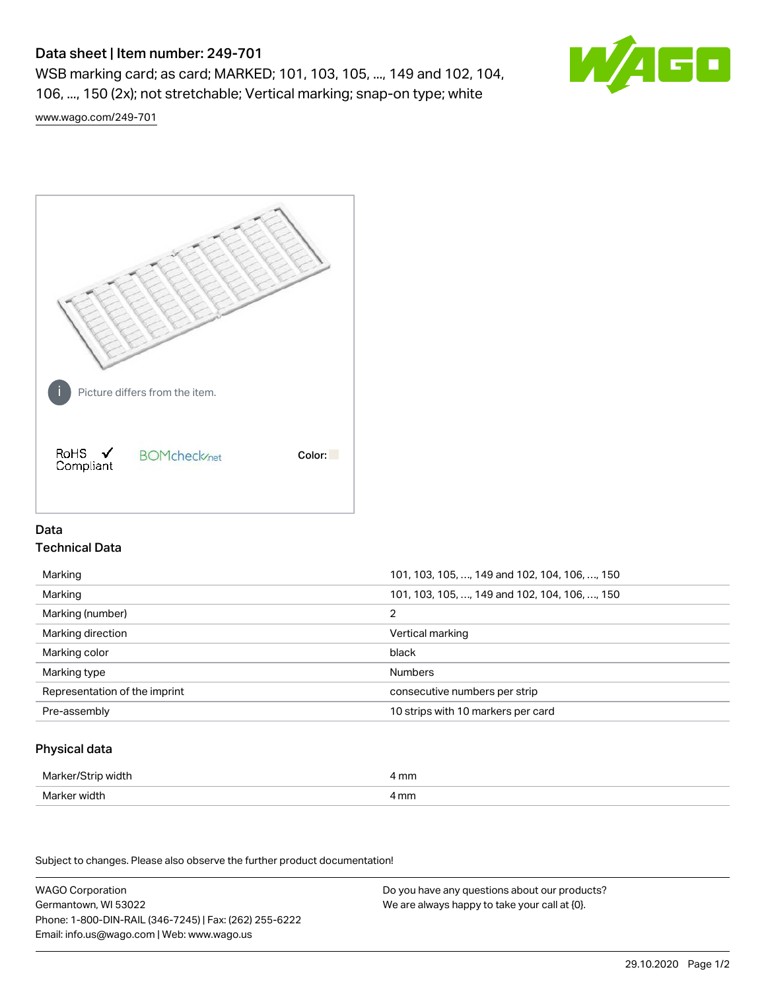# Data sheet | Item number: 249-701

WSB marking card; as card; MARKED; 101, 103, 105, ..., 149 and 102, 104, 106, ..., 150 (2x); not stretchable; Vertical marking; snap-on type; white



[www.wago.com/249-701](http://www.wago.com/249-701)



# Data Technical Data

| Marking                       | 101, 103, 105, , 149 and 102, 104, 106, , 150 |
|-------------------------------|-----------------------------------------------|
| Marking                       | 101, 103, 105, , 149 and 102, 104, 106, , 150 |
| Marking (number)              | 2                                             |
| Marking direction             | Vertical marking                              |
| Marking color                 | black                                         |
| Marking type                  | <b>Numbers</b>                                |
| Representation of the imprint | consecutive numbers per strip                 |
| Pre-assembly                  | 10 strips with 10 markers per card            |

# Physical data

| Marker/S<br>width<br>75 U | 4 mm<br>. |
|---------------------------|-----------|
| Marker width              | 4 mm      |

Subject to changes. Please also observe the further product documentation!

WAGO Corporation Germantown, WI 53022 Phone: 1-800-DIN-RAIL (346-7245) | Fax: (262) 255-6222 Email: info.us@wago.com | Web: www.wago.us Do you have any questions about our products? We are always happy to take your call at {0}.